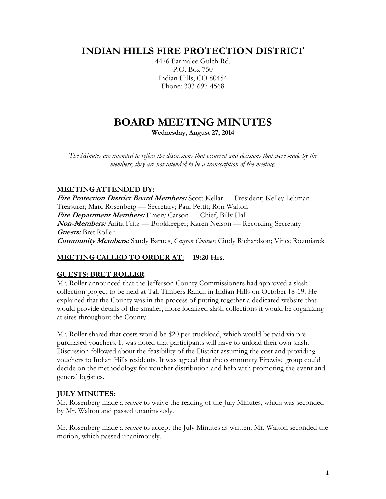# **INDIAN HILLS FIRE PROTECTION DISTRICT**

4476 Parmalee Gulch Rd. P.O. Box 750 Indian Hills, CO 80454 Phone: 303-697-4568

# **BOARD MEETING MINUTES**

**Wednesday, August 27, 2014**

*The Minutes are intended to reflect the discussions that occurred and decisions that were made by the members; they are not intended to be a transcription of the meeting.*

# **MEETING ATTENDED BY:**

**Fire Protection District Board Members:** Scott Kellar — President; Kelley Lehman — Treasurer; Marc Rosenberg — Secretary; Paul Pettit; Ron Walton **Fire Department Members:** Emery Carson — Chief, Billy Hall **Non-Members:** Anita Fritz — Bookkeeper; Karen Nelson — Recording Secretary **Guests:** Bret Roller **Community Members:** Sandy Barnes, *Canyon Courier;* Cindy Richardson; Vince Rozmiarek

# **MEETING CALLED TO ORDER AT: 19:20 Hrs.**

# **GUESTS: BRET ROLLER**

Mr. Roller announced that the Jefferson County Commissioners had approved a slash collection project to be held at Tall Timbers Ranch in Indian Hills on October 18-19. He explained that the County was in the process of putting together a dedicated website that would provide details of the smaller, more localized slash collections it would be organizing at sites throughout the County.

Mr. Roller shared that costs would be \$20 per truckload, which would be paid via prepurchased vouchers. It was noted that participants will have to unload their own slash. Discussion followed about the feasibility of the District assuming the cost and providing vouchers to Indian Hills residents. It was agreed that the community Firewise group could decide on the methodology for voucher distribution and help with promoting the event and general logistics.

# **JULY MINUTES:**

Mr. Rosenberg made a *motion* to waive the reading of the July Minutes, which was seconded by Mr. Walton and passed unanimously.

Mr. Rosenberg made a *motion* to accept the July Minutes as written. Mr. Walton seconded the motion, which passed unanimously.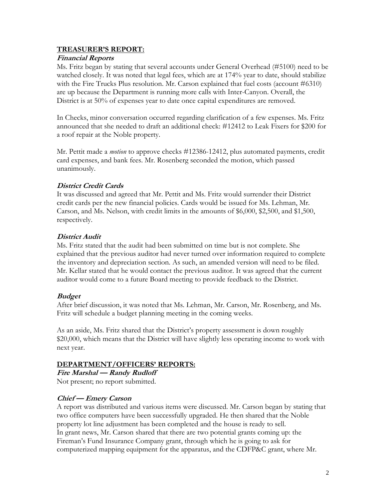#### **TREASURER'S REPORT:**

#### **Financial Reports**

Ms. Fritz began by stating that several accounts under General Overhead (#5100) need to be watched closely. It was noted that legal fees, which are at 174% year to date, should stabilize with the Fire Trucks Plus resolution. Mr. Carson explained that fuel costs (account #6310) are up because the Department is running more calls with Inter-Canyon. Overall, the District is at 50% of expenses year to date once capital expenditures are removed.

In Checks, minor conversation occurred regarding clarification of a few expenses. Ms. Fritz announced that she needed to draft an additional check: #12412 to Leak Fixers for \$200 for a roof repair at the Noble property.

Mr. Pettit made a *motion* to approve checks #12386-12412, plus automated payments, credit card expenses, and bank fees. Mr. Rosenberg seconded the motion, which passed unanimously.

# **District Credit Cards**

It was discussed and agreed that Mr. Pettit and Ms. Fritz would surrender their District credit cards per the new financial policies. Cards would be issued for Ms. Lehman, Mr. Carson, and Ms. Nelson, with credit limits in the amounts of \$6,000, \$2,500, and \$1,500, respectively.

# **District Audit**

Ms. Fritz stated that the audit had been submitted on time but is not complete. She explained that the previous auditor had never turned over information required to complete the inventory and depreciation section. As such, an amended version will need to be filed. Mr. Kellar stated that he would contact the previous auditor. It was agreed that the current auditor would come to a future Board meeting to provide feedback to the District.

#### **Budget**

After brief discussion, it was noted that Ms. Lehman, Mr. Carson, Mr. Rosenberg, and Ms. Fritz will schedule a budget planning meeting in the coming weeks.

As an aside, Ms. Fritz shared that the District's property assessment is down roughly \$20,000, which means that the District will have slightly less operating income to work with next year.

#### **DEPARTMENT/OFFICERS' REPORTS:**

**Fire Marshal — Randy Rudloff** Not present; no report submitted.

#### **Chief — Emery Carson**

A report was distributed and various items were discussed. Mr. Carson began by stating that two office computers have been successfully upgraded. He then shared that the Noble property lot line adjustment has been completed and the house is ready to sell. In grant news, Mr. Carson shared that there are two potential grants coming up: the Fireman's Fund Insurance Company grant, through which he is going to ask for computerized mapping equipment for the apparatus, and the CDFP&C grant, where Mr.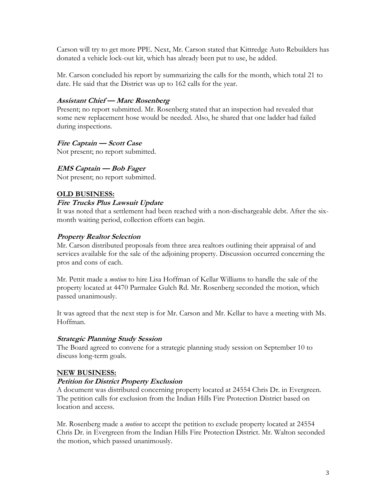Carson will try to get more PPE. Next, Mr. Carson stated that Kittredge Auto Rebuilders has donated a vehicle lock-out kit, which has already been put to use, he added.

Mr. Carson concluded his report by summarizing the calls for the month, which total 21 to date. He said that the District was up to 162 calls for the year.

# **Assistant Chief — Marc Rosenberg**

Present; no report submitted. Mr. Rosenberg stated that an inspection had revealed that some new replacement hose would be needed. Also, he shared that one ladder had failed during inspections.

# **Fire Captain — Scott Case**

Not present; no report submitted.

# **EMS Captain — Bob Fager**

Not present; no report submitted.

# **OLD BUSINESS:**

# **Fire Trucks Plus Lawsuit Update**

It was noted that a settlement had been reached with a non-dischargeable debt. After the sixmonth waiting period, collection efforts can begin.

# **Property Realtor Selection**

Mr. Carson distributed proposals from three area realtors outlining their appraisal of and services available for the sale of the adjoining property. Discussion occurred concerning the pros and cons of each.

Mr. Pettit made a *motion* to hire Lisa Hoffman of Kellar Williams to handle the sale of the property located at 4470 Parmalee Gulch Rd. Mr. Rosenberg seconded the motion, which passed unanimously.

It was agreed that the next step is for Mr. Carson and Mr. Kellar to have a meeting with Ms. Hoffman.

#### **Strategic Planning Study Session**

The Board agreed to convene for a strategic planning study session on September 10 to discuss long-term goals.

#### **NEW BUSINESS:**

#### **Petition for District Property Exclusion**

A document was distributed concerning property located at 24554 Chris Dr. in Evergreen. The petition calls for exclusion from the Indian Hills Fire Protection District based on location and access.

Mr. Rosenberg made a *motion* to accept the petition to exclude property located at 24554 Chris Dr. in Evergreen from the Indian Hills Fire Protection District. Mr. Walton seconded the motion, which passed unanimously.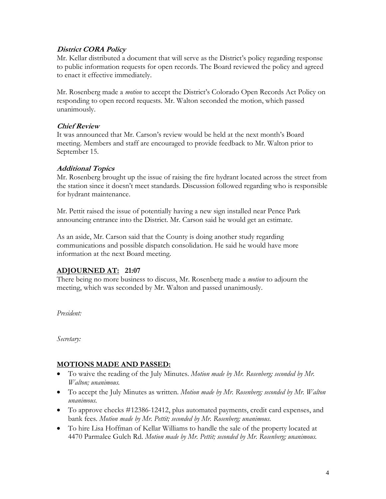# **District CORA Policy**

Mr. Kellar distributed a document that will serve as the District's policy regarding response to public information requests for open records. The Board reviewed the policy and agreed to enact it effective immediately.

Mr. Rosenberg made a *motion* to accept the District's Colorado Open Records Act Policy on responding to open record requests. Mr. Walton seconded the motion, which passed unanimously.

#### **Chief Review**

It was announced that Mr. Carson's review would be held at the next month's Board meeting. Members and staff are encouraged to provide feedback to Mr. Walton prior to September 15.

# **Additional Topics**

Mr. Rosenberg brought up the issue of raising the fire hydrant located across the street from the station since it doesn't meet standards. Discussion followed regarding who is responsible for hydrant maintenance.

Mr. Pettit raised the issue of potentially having a new sign installed near Pence Park announcing entrance into the District. Mr. Carson said he would get an estimate.

As an aside, Mr. Carson said that the County is doing another study regarding communications and possible dispatch consolidation. He said he would have more information at the next Board meeting.

# **ADJOURNED AT: 21:07**

There being no more business to discuss, Mr. Rosenberg made a *motion* to adjourn the meeting, which was seconded by Mr. Walton and passed unanimously.

*President:*

*Secretary:*

# **MOTIONS MADE AND PASSED:**

- To waive the reading of the July Minutes. *Motion made by Mr. Rosenberg; seconded by Mr. Walton; unanimous.*
- To accept the July Minutes as written. *Motion made by Mr. Rosenberg; seconded by Mr. Walton unanimous.*
- To approve checks #12386-12412, plus automated payments, credit card expenses, and bank fees. *Motion made by Mr. Pettit; seconded by Mr. Rosenberg; unanimous.*
- To hire Lisa Hoffman of Kellar Williams to handle the sale of the property located at 4470 Parmalee Gulch Rd. *Motion made by Mr. Pettit; seconded by Mr. Rosenberg; unanimous.*